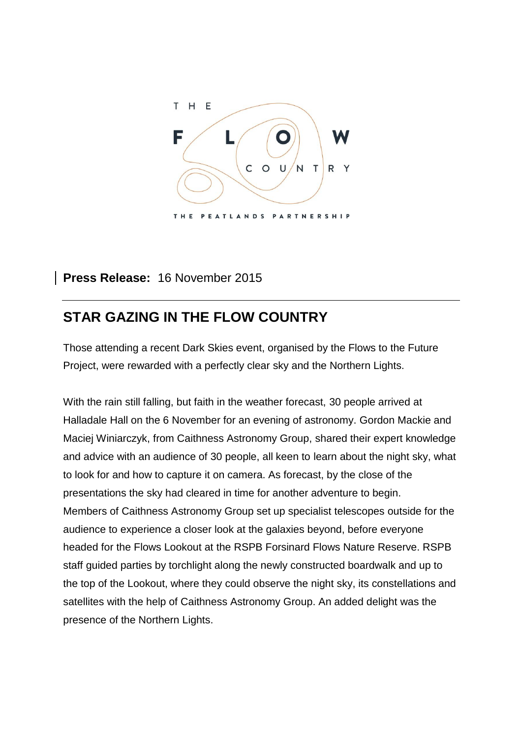

### **Press Release:** 16 November 2015

# **STAR GAZING IN THE FLOW COUNTRY**

Those attending a recent Dark Skies event, organised by the Flows to the Future Project, were rewarded with a perfectly clear sky and the Northern Lights.

With the rain still falling, but faith in the weather forecast, 30 people arrived at Halladale Hall on the 6 November for an evening of astronomy. Gordon Mackie and Maciej Winiarczyk, from Caithness Astronomy Group, shared their expert knowledge and advice with an audience of 30 people, all keen to learn about the night sky, what to look for and how to capture it on camera. As forecast, by the close of the presentations the sky had cleared in time for another adventure to begin. Members of Caithness Astronomy Group set up specialist telescopes outside for the audience to experience a closer look at the galaxies beyond, before everyone headed for the Flows Lookout at the RSPB Forsinard Flows Nature Reserve. RSPB staff guided parties by torchlight along the newly constructed boardwalk and up to the top of the Lookout, where they could observe the night sky, its constellations and satellites with the help of Caithness Astronomy Group. An added delight was the presence of the Northern Lights.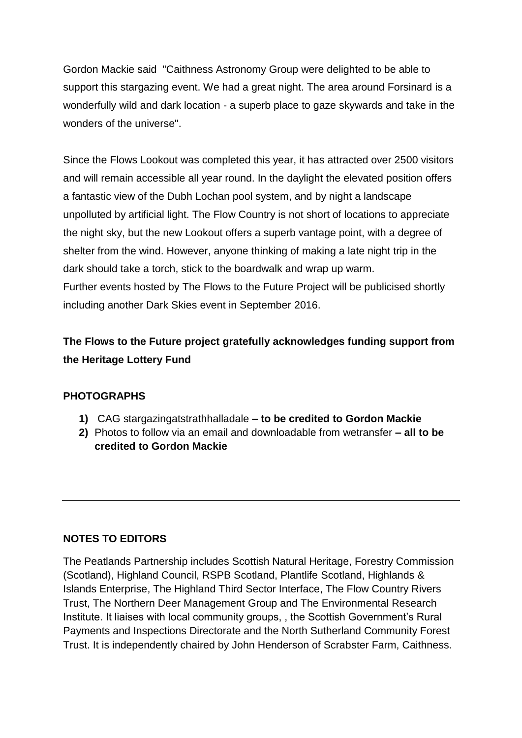Gordon Mackie said "Caithness Astronomy Group were delighted to be able to support this stargazing event. We had a great night. The area around Forsinard is a wonderfully wild and dark location - a superb place to gaze skywards and take in the wonders of the universe".

Since the Flows Lookout was completed this year, it has attracted over 2500 visitors and will remain accessible all year round. In the daylight the elevated position offers a fantastic view of the Dubh Lochan pool system, and by night a landscape unpolluted by artificial light. The Flow Country is not short of locations to appreciate the night sky, but the new Lookout offers a superb vantage point, with a degree of shelter from the wind. However, anyone thinking of making a late night trip in the dark should take a torch, stick to the boardwalk and wrap up warm. Further events hosted by The Flows to the Future Project will be publicised shortly including another Dark Skies event in September 2016.

## **The Flows to the Future project gratefully acknowledges funding support from the Heritage Lottery Fund**

#### **PHOTOGRAPHS**

- **1)** CAG stargazingatstrathhalladale **– to be credited to Gordon Mackie**
- **2)** Photos to follow via an email and downloadable from wetransfer **– all to be credited to Gordon Mackie**

#### **NOTES TO EDITORS**

The Peatlands Partnership includes Scottish Natural Heritage, Forestry Commission (Scotland), Highland Council, RSPB Scotland, Plantlife Scotland, Highlands & Islands Enterprise, The Highland Third Sector Interface, The Flow Country Rivers Trust, The Northern Deer Management Group and The Environmental Research Institute. It liaises with local community groups, , the Scottish Government's Rural Payments and Inspections Directorate and the North Sutherland Community Forest Trust. It is independently chaired by John Henderson of Scrabster Farm, Caithness.